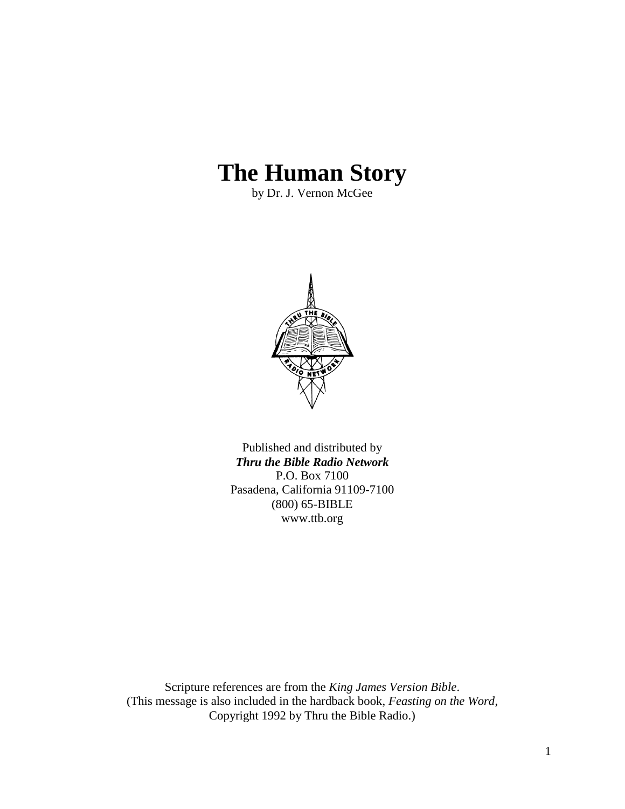# **The Human Story**

by Dr. J. Vernon McGee



Published and distributed by *Thru the Bible Radio Network* P.O. Box 7100 Pasadena, California 91109-7100 (800) 65-BIBLE www.ttb.org

Scripture references are from the *King James Version Bible*. (This message is also included in the hardback book, *Feasting on the Word*, Copyright 1992 by Thru the Bible Radio.)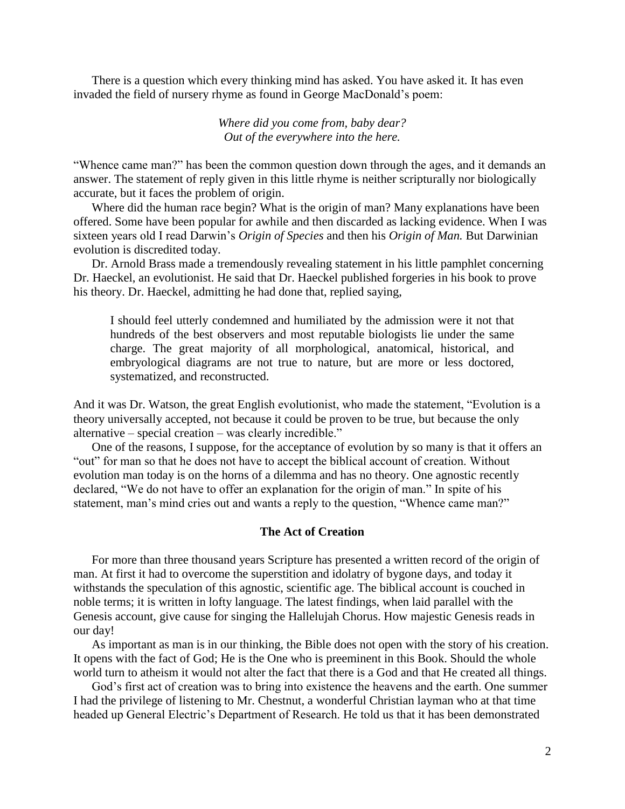There is a question which every thinking mind has asked. You have asked it. It has even invaded the field of nursery rhyme as found in George MacDonald's poem:

> *Where did you come from, baby dear? Out of the everywhere into the here.*

"Whence came man?" has been the common question down through the ages, and it demands an answer. The statement of reply given in this little rhyme is neither scripturally nor biologically accurate, but it faces the problem of origin.

Where did the human race begin? What is the origin of man? Many explanations have been offered. Some have been popular for awhile and then discarded as lacking evidence. When I was sixteen years old I read Darwin's *Origin of Species* and then his *Origin of Man.* But Darwinian evolution is discredited today.

Dr. Arnold Brass made a tremendously revealing statement in his little pamphlet concerning Dr. Haeckel, an evolutionist. He said that Dr. Haeckel published forgeries in his book to prove his theory. Dr. Haeckel, admitting he had done that, replied saying,

I should feel utterly condemned and humiliated by the admission were it not that hundreds of the best observers and most reputable biologists lie under the same charge. The great majority of all morphological, anatomical, historical, and embryological diagrams are not true to nature, but are more or less doctored, systematized, and reconstructed.

And it was Dr. Watson, the great English evolutionist, who made the statement, "Evolution is a theory universally accepted, not because it could be proven to be true, but because the only alternative – special creation – was clearly incredible."

One of the reasons, I suppose, for the acceptance of evolution by so many is that it offers an "out" for man so that he does not have to accept the biblical account of creation. Without evolution man today is on the horns of a dilemma and has no theory. One agnostic recently declared, "We do not have to offer an explanation for the origin of man." In spite of his statement, man's mind cries out and wants a reply to the question, "Whence came man?"

#### **The Act of Creation**

For more than three thousand years Scripture has presented a written record of the origin of man. At first it had to overcome the superstition and idolatry of bygone days, and today it withstands the speculation of this agnostic, scientific age. The biblical account is couched in noble terms; it is written in lofty language. The latest findings, when laid parallel with the Genesis account, give cause for singing the Hallelujah Chorus. How majestic Genesis reads in our day!

As important as man is in our thinking, the Bible does not open with the story of his creation. It opens with the fact of God; He is the One who is preeminent in this Book. Should the whole world turn to atheism it would not alter the fact that there is a God and that He created all things.

God's first act of creation was to bring into existence the heavens and the earth. One summer I had the privilege of listening to Mr. Chestnut, a wonderful Christian layman who at that time headed up General Electric's Department of Research. He told us that it has been demonstrated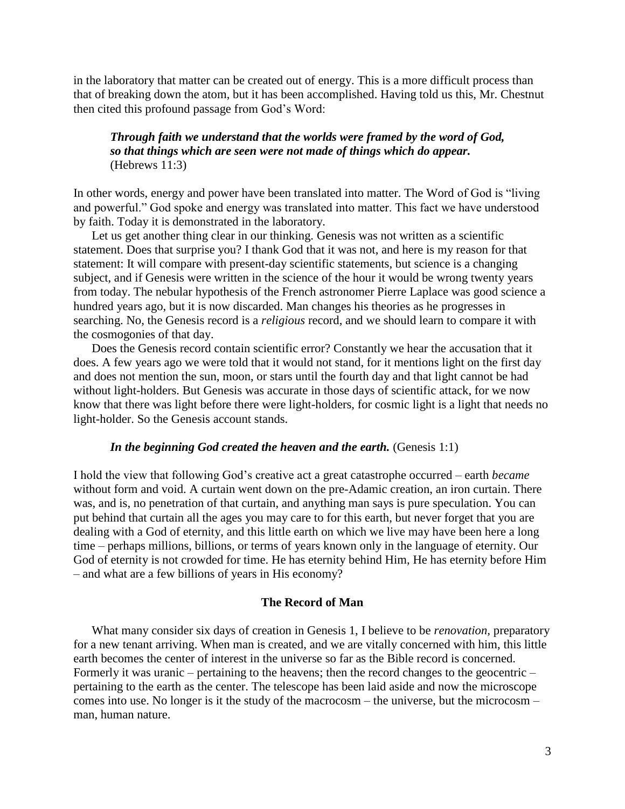in the laboratory that matter can be created out of energy. This is a more difficult process than that of breaking down the atom, but it has been accomplished. Having told us this, Mr. Chestnut then cited this profound passage from God's Word:

# *Through faith we understand that the worlds were framed by the word of God, so that things which are seen were not made of things which do appear.*  (Hebrews 11:3)

In other words, energy and power have been translated into matter. The Word of God is "living and powerful." God spoke and energy was translated into matter. This fact we have understood by faith. Today it is demonstrated in the laboratory.

Let us get another thing clear in our thinking. Genesis was not written as a scientific statement. Does that surprise you? I thank God that it was not, and here is my reason for that statement: It will compare with present-day scientific statements, but science is a changing subject, and if Genesis were written in the science of the hour it would be wrong twenty years from today. The nebular hypothesis of the French astronomer Pierre Laplace was good science a hundred years ago, but it is now discarded. Man changes his theories as he progresses in searching. No, the Genesis record is a *religious* record, and we should learn to compare it with the cosmogonies of that day.

Does the Genesis record contain scientific error? Constantly we hear the accusation that it does. A few years ago we were told that it would not stand, for it mentions light on the first day and does not mention the sun, moon, or stars until the fourth day and that light cannot be had without light-holders. But Genesis was accurate in those days of scientific attack, for we now know that there was light before there were light-holders, for cosmic light is a light that needs no light-holder. So the Genesis account stands.

#### *In the beginning God created the heaven and the earth.* (Genesis 1:1)

I hold the view that following God's creative act a great catastrophe occurred – earth *became* without form and void. A curtain went down on the pre-Adamic creation, an iron curtain. There was, and is, no penetration of that curtain, and anything man says is pure speculation. You can put behind that curtain all the ages you may care to for this earth, but never forget that you are dealing with a God of eternity, and this little earth on which we live may have been here a long time – perhaps millions, billions, or terms of years known only in the language of eternity. Our God of eternity is not crowded for time. He has eternity behind Him, He has eternity before Him – and what are a few billions of years in His economy?

#### **The Record of Man**

What many consider six days of creation in Genesis 1, I believe to be *renovation,* preparatory for a new tenant arriving. When man is created, and we are vitally concerned with him, this little earth becomes the center of interest in the universe so far as the Bible record is concerned. Formerly it was uranic – pertaining to the heavens; then the record changes to the geocentric – pertaining to the earth as the center. The telescope has been laid aside and now the microscope comes into use. No longer is it the study of the macrocosm – the universe, but the microcosm – man, human nature.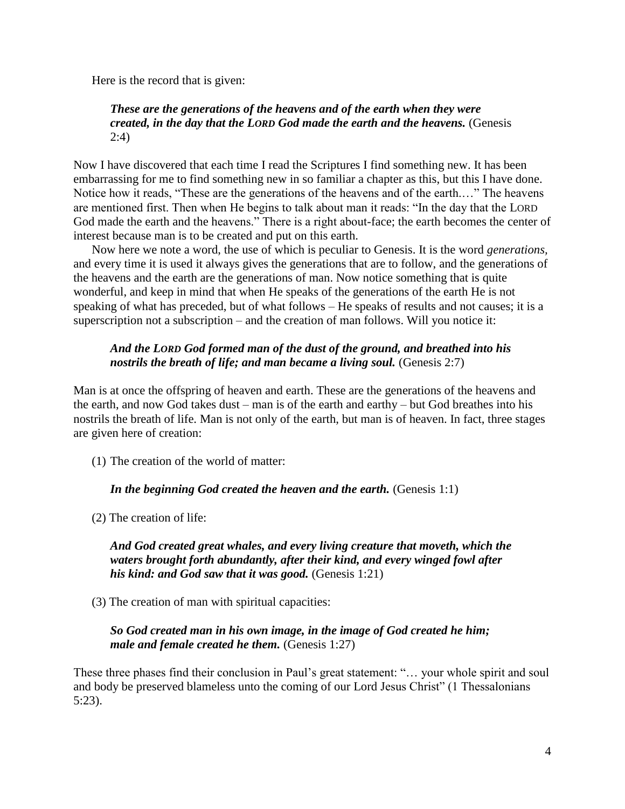Here is the record that is given:

# *These are the generations of the heavens and of the earth when they were created, in the day that the LORD God made the earth and the heavens.* (Genesis 2:4)

Now I have discovered that each time I read the Scriptures I find something new. It has been embarrassing for me to find something new in so familiar a chapter as this, but this I have done. Notice how it reads, "These are the generations of the heavens and of the earth.…" The heavens are mentioned first. Then when He begins to talk about man it reads: "In the day that the LORD God made the earth and the heavens." There is a right about-face; the earth becomes the center of interest because man is to be created and put on this earth.

Now here we note a word, the use of which is peculiar to Genesis. It is the word *generations,* and every time it is used it always gives the generations that are to follow, and the generations of the heavens and the earth are the generations of man. Now notice something that is quite wonderful, and keep in mind that when He speaks of the generations of the earth He is not speaking of what has preceded, but of what follows – He speaks of results and not causes; it is a superscription not a subscription – and the creation of man follows. Will you notice it:

# *And the LORD God formed man of the dust of the ground, and breathed into his nostrils the breath of life; and man became a living soul.* (Genesis 2:7)

Man is at once the offspring of heaven and earth. These are the generations of the heavens and the earth, and now God takes dust – man is of the earth and earthy – but God breathes into his nostrils the breath of life. Man is not only of the earth, but man is of heaven. In fact, three stages are given here of creation:

(1) The creation of the world of matter:

# *In the beginning God created the heaven and the earth.* (Genesis 1:1)

(2) The creation of life:

*And God created great whales, and every living creature that moveth, which the waters brought forth abundantly, after their kind, and every winged fowl after his kind: and God saw that it was good.* (Genesis 1:21)

(3) The creation of man with spiritual capacities:

# *So God created man in his own image, in the image of God created he him; male and female created he them.* (Genesis 1:27)

These three phases find their conclusion in Paul's great statement: "… your whole spirit and soul and body be preserved blameless unto the coming of our Lord Jesus Christ" (1 Thessalonians 5:23).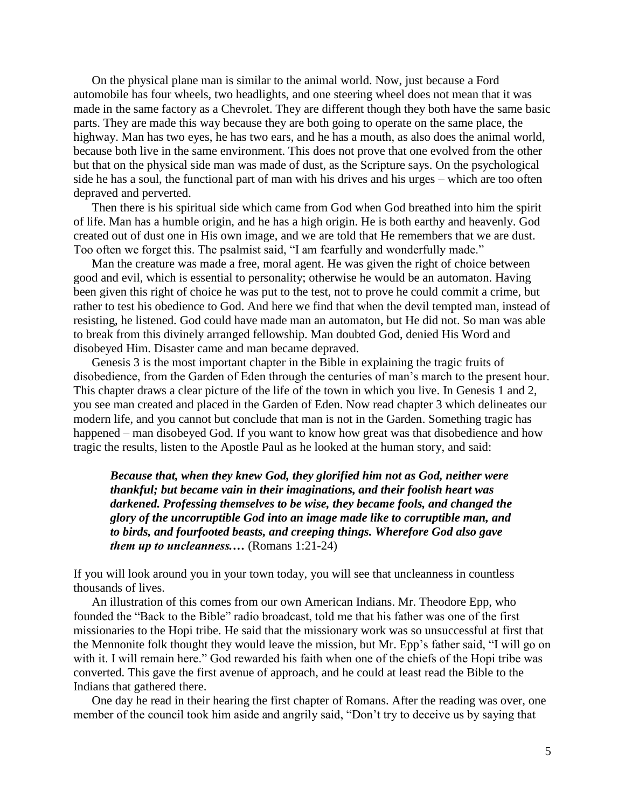On the physical plane man is similar to the animal world. Now, just because a Ford automobile has four wheels, two headlights, and one steering wheel does not mean that it was made in the same factory as a Chevrolet. They are different though they both have the same basic parts. They are made this way because they are both going to operate on the same place, the highway. Man has two eyes, he has two ears, and he has a mouth, as also does the animal world, because both live in the same environment. This does not prove that one evolved from the other but that on the physical side man was made of dust, as the Scripture says. On the psychological side he has a soul, the functional part of man with his drives and his urges – which are too often depraved and perverted.

Then there is his spiritual side which came from God when God breathed into him the spirit of life. Man has a humble origin, and he has a high origin. He is both earthy and heavenly. God created out of dust one in His own image, and we are told that He remembers that we are dust. Too often we forget this. The psalmist said, "I am fearfully and wonderfully made."

Man the creature was made a free, moral agent. He was given the right of choice between good and evil, which is essential to personality; otherwise he would be an automaton. Having been given this right of choice he was put to the test, not to prove he could commit a crime, but rather to test his obedience to God. And here we find that when the devil tempted man, instead of resisting, he listened. God could have made man an automaton, but He did not. So man was able to break from this divinely arranged fellowship. Man doubted God, denied His Word and disobeyed Him. Disaster came and man became depraved.

Genesis 3 is the most important chapter in the Bible in explaining the tragic fruits of disobedience, from the Garden of Eden through the centuries of man's march to the present hour. This chapter draws a clear picture of the life of the town in which you live. In Genesis 1 and 2, you see man created and placed in the Garden of Eden. Now read chapter 3 which delineates our modern life, and you cannot but conclude that man is not in the Garden. Something tragic has happened – man disobeyed God. If you want to know how great was that disobedience and how tragic the results, listen to the Apostle Paul as he looked at the human story, and said:

*Because that, when they knew God, they glorified him not as God, neither were thankful; but became vain in their imaginations, and their foolish heart was darkened. Professing themselves to be wise, they became fools, and changed the glory of the uncorruptible God into an image made like to corruptible man, and to birds, and fourfooted beasts, and creeping things. Wherefore God also gave them up to uncleanness.…* (Romans 1:21-24)

If you will look around you in your town today, you will see that uncleanness in countless thousands of lives.

An illustration of this comes from our own American Indians. Mr. Theodore Epp, who founded the "Back to the Bible" radio broadcast, told me that his father was one of the first missionaries to the Hopi tribe. He said that the missionary work was so unsuccessful at first that the Mennonite folk thought they would leave the mission, but Mr. Epp's father said, "I will go on with it. I will remain here." God rewarded his faith when one of the chiefs of the Hopi tribe was converted. This gave the first avenue of approach, and he could at least read the Bible to the Indians that gathered there.

One day he read in their hearing the first chapter of Romans. After the reading was over, one member of the council took him aside and angrily said, "Don't try to deceive us by saying that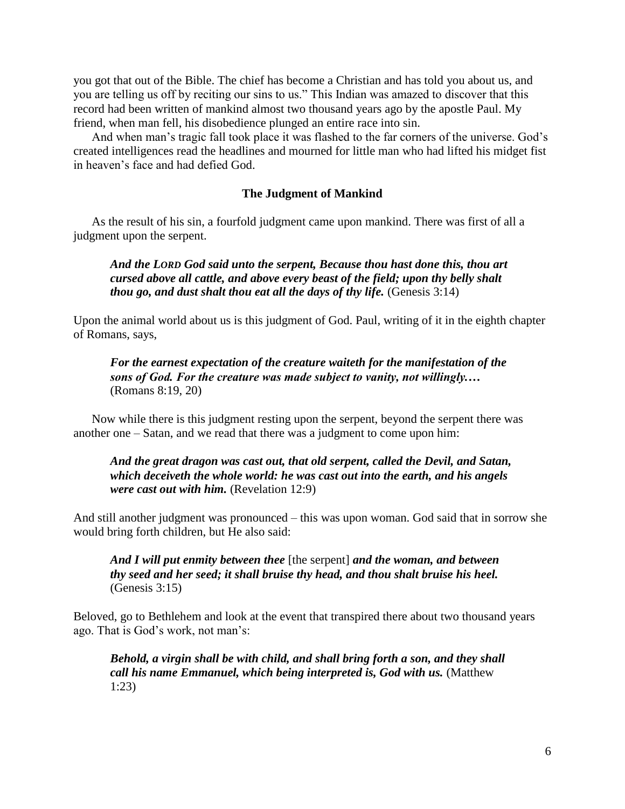you got that out of the Bible. The chief has become a Christian and has told you about us, and you are telling us off by reciting our sins to us." This Indian was amazed to discover that this record had been written of mankind almost two thousand years ago by the apostle Paul. My friend, when man fell, his disobedience plunged an entire race into sin.

And when man's tragic fall took place it was flashed to the far corners of the universe. God's created intelligences read the headlines and mourned for little man who had lifted his midget fist in heaven's face and had defied God.

#### **The Judgment of Mankind**

As the result of his sin, a fourfold judgment came upon mankind. There was first of all a judgment upon the serpent.

#### *And the LORD God said unto the serpent, Because thou hast done this, thou art cursed above all cattle, and above every beast of the field; upon thy belly shalt thou go, and dust shalt thou eat all the days of thy life.* (Genesis 3:14)

Upon the animal world about us is this judgment of God. Paul, writing of it in the eighth chapter of Romans, says,

*For the earnest expectation of the creature waiteth for the manifestation of the sons of God. For the creature was made subject to vanity, not willingly.…* (Romans 8:19, 20)

Now while there is this judgment resting upon the serpent, beyond the serpent there was another one – Satan, and we read that there was a judgment to come upon him:

### *And the great dragon was cast out, that old serpent, called the Devil, and Satan, which deceiveth the whole world: he was cast out into the earth, and his angels were cast out with him.* (Revelation 12:9)

And still another judgment was pronounced – this was upon woman. God said that in sorrow she would bring forth children, but He also said:

*And I will put enmity between thee* [the serpent] *and the woman, and between thy seed and her seed; it shall bruise thy head, and thou shalt bruise his heel.* (Genesis 3:15)

Beloved, go to Bethlehem and look at the event that transpired there about two thousand years ago. That is God's work, not man's:

*Behold, a virgin shall be with child, and shall bring forth a son, and they shall call his name Emmanuel, which being interpreted is, God with us.* (Matthew 1:23)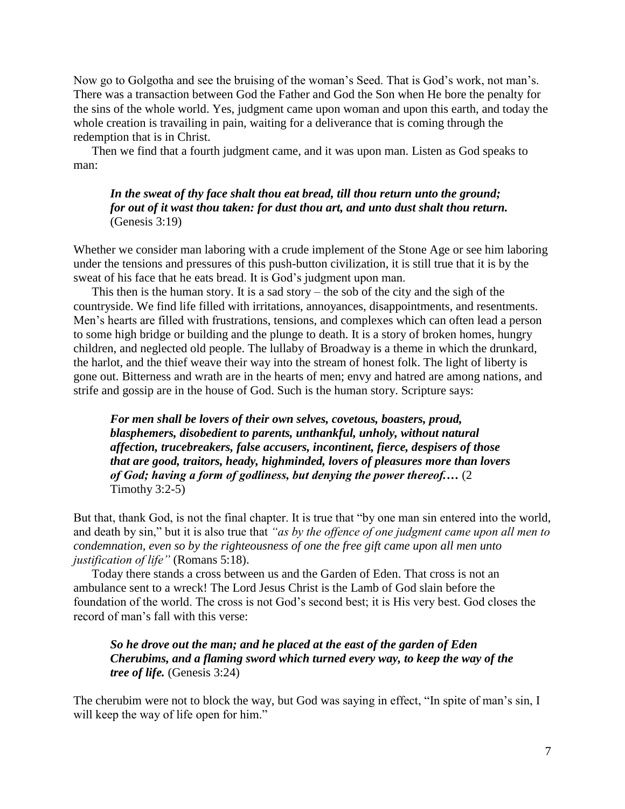Now go to Golgotha and see the bruising of the woman's Seed. That is God's work, not man's. There was a transaction between God the Father and God the Son when He bore the penalty for the sins of the whole world. Yes, judgment came upon woman and upon this earth, and today the whole creation is travailing in pain, waiting for a deliverance that is coming through the redemption that is in Christ.

Then we find that a fourth judgment came, and it was upon man. Listen as God speaks to man:

### *In the sweat of thy face shalt thou eat bread, till thou return unto the ground; for out of it wast thou taken: for dust thou art, and unto dust shalt thou return.* (Genesis 3:19)

Whether we consider man laboring with a crude implement of the Stone Age or see him laboring under the tensions and pressures of this push-button civilization, it is still true that it is by the sweat of his face that he eats bread. It is God's judgment upon man.

This then is the human story. It is a sad story – the sob of the city and the sigh of the countryside. We find life filled with irritations, annoyances, disappointments, and resentments. Men's hearts are filled with frustrations, tensions, and complexes which can often lead a person to some high bridge or building and the plunge to death. It is a story of broken homes, hungry children, and neglected old people. The lullaby of Broadway is a theme in which the drunkard, the harlot, and the thief weave their way into the stream of honest folk. The light of liberty is gone out. Bitterness and wrath are in the hearts of men; envy and hatred are among nations, and strife and gossip are in the house of God. Such is the human story. Scripture says:

*For men shall be lovers of their own selves, covetous, boasters, proud, blasphemers, disobedient to parents, unthankful, unholy, without natural affection, trucebreakers, false accusers, incontinent, fierce, despisers of those that are good, traitors, heady, highminded, lovers of pleasures more than lovers of God; having a form of godliness, but denying the power thereof.…* (2 Timothy 3:2-5)

But that, thank God, is not the final chapter. It is true that "by one man sin entered into the world, and death by sin," but it is also true that *"as by the offence of one judgment came upon all men to condemnation, even so by the righteousness of one the free gift came upon all men unto justification of life"* (Romans 5:18).

Today there stands a cross between us and the Garden of Eden. That cross is not an ambulance sent to a wreck! The Lord Jesus Christ is the Lamb of God slain before the foundation of the world. The cross is not God's second best; it is His very best. God closes the record of man's fall with this verse:

*So he drove out the man; and he placed at the east of the garden of Eden Cherubims, and a flaming sword which turned every way, to keep the way of the tree of life.* (Genesis 3:24)

The cherubim were not to block the way, but God was saying in effect, "In spite of man's sin, I will keep the way of life open for him."